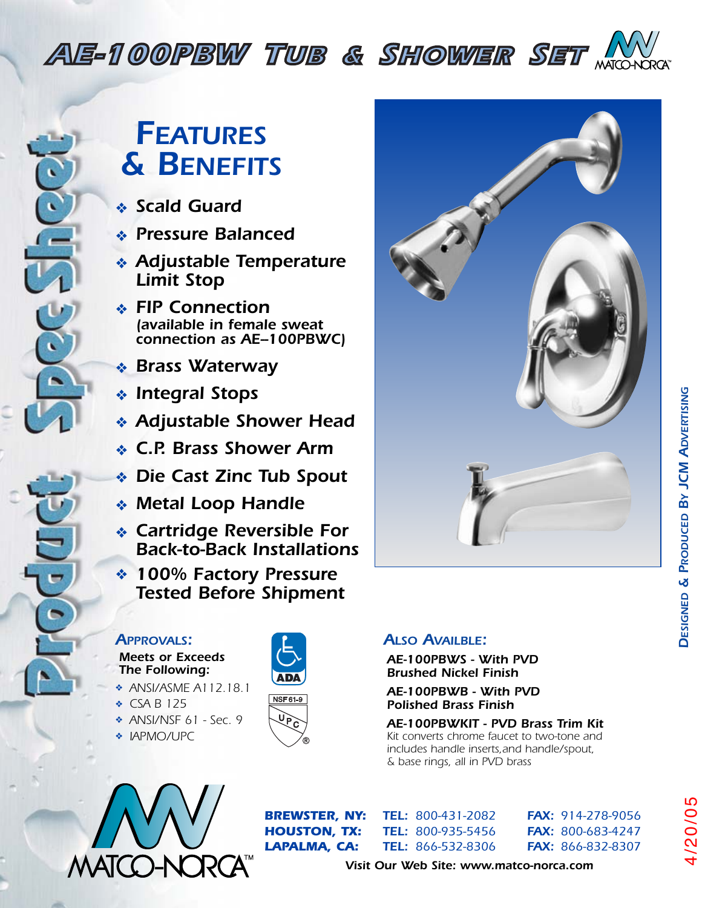# *AE-100PBW TUB & SHOWER SET*

*AE-110PBW TUB & SHOWER SET*



## *FEATURES & BENEFITS*

- ❖ *Scald Guard*
- ❖ *Pressure Balanced*
- *FT-300WL*<br>*FT-300</sup> <i>FT-300* **FT-300** ❖ *Adjustable Temperature Limit Stop*
	- ❖ *FIP Connection connection as AE--100PBWC)*
	-
	- ❖ *Integral Stops*
	-
	- ❖ *C.P. Brass Shower Arm*
- **FT-9000WL** *FT-9000WL FT-900WL FT-900WL FT-900WL* 
	- ❖ *Metal Loop Handle*
	- ❖ *Cartridge Reversible For Back-to-Back Installations*
- **FT** *FT K FT FTP COM* **FEDE** *Tested Before Shipment*

#### *APPROVALS:*

*Meets or Exceeds The Following:*

- ❖ *ANSI/ASME A112.18.1*
- ❖ *CSA B 125*
- ❖ *ANSI/NSF 61 Sec. 9*
- ❖ *IAPMO/UPC*





#### *ALSO AVAILBLE:*

*AE-100PBWS - With PVD Brushed Nickel Finish*

*AE-100PBWB - With PVD Polished Brass Finish*

#### *AE-100PBWKIT - PVD Brass Trim Kit Kit converts chrome faucet to two-tone and*

*includes handle inserts,and handle/spout, & base rings, all in PVD brass*



*FY-700 SINGLE BASIN FAUCET*

*BREWSTER, NY: TEL: 800-431-2082 FAX: 914-278-9056 HOUSTON, TX: TEL: 800-935-5456 FAX: 800-683-4247 LAPALMA, CA: TEL: 866-532-8306 FAX: 866-832-8307*

*Visit Our Web Site: www.matco-norca.com*